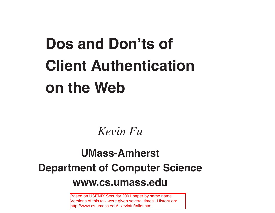# **Dos and Don'ts of Client Authentication on the Web**

*Kevin Fu*

#### **UMass-Amherst Department of Computer Science www.cs.umass.edu**

Based on USENIX Security 2001 paper by same name. Versions of this talk were given several times. History on: http://www.cs.umass.edu/~kevinfu/talks.html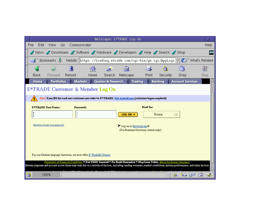|   |                                                                   |      |                                |        |              | Netscape: E*TRADE Log On                                                                                                                                                                                                                                                                    |                                                                 |                |                |                         |                  |      |
|---|-------------------------------------------------------------------|------|--------------------------------|--------|--------------|---------------------------------------------------------------------------------------------------------------------------------------------------------------------------------------------------------------------------------------------------------------------------------------------|-----------------------------------------------------------------|----------------|----------------|-------------------------|------------------|------|
|   | File                                                              | Edit | View                           | Go     | Communicator |                                                                                                                                                                                                                                                                                             |                                                                 |                |                |                         |                  | Help |
|   |                                                                   |      |                                |        |              | News / Downloads / Software / Hardware / Developers / Help / Search / Shop                                                                                                                                                                                                                  |                                                                 |                |                |                         |                  |      |
|   |                                                                   |      |                                |        |              | EDookmarks & Netsite: https://trading.etrade.com/cgi-bin/gx.cgi/AppLogi V                                                                                                                                                                                                                   |                                                                 |                |                |                         | 《 What's Related |      |
|   |                                                                   |      |                                |        | 發            |                                                                                                                                                                                                                                                                                             | ली।                                                             |                |                |                         |                  |      |
|   | Back                                                              |      | Forward                        | Reload | Home         | Search                                                                                                                                                                                                                                                                                      | Netscape                                                        | Print          | Security       | Shop                    |                  | Stop |
|   | Home                                                              |      | <b>Portfolios</b>              |        |              | Markets Quotes & Research                                                                                                                                                                                                                                                                   |                                                                 | <b>Trading</b> | <b>Banking</b> | <b>Account Services</b> |                  |      |
|   |                                                                   |      |                                |        |              | <b>E*TRADE Customer &amp; Member Log On</b>                                                                                                                                                                                                                                                 |                                                                 |                |                |                         |                  |      |
|   |                                                                   |      |                                |        |              | New! Earn \$50 for each new customer you refer to E*TRADE. Get started now (customer logon required)                                                                                                                                                                                        |                                                                 |                |                |                         |                  |      |
|   |                                                                   |      | <b>E*TRADE User Name:</b>      |        | Password:    |                                                                                                                                                                                                                                                                                             |                                                                 | Start In:      |                |                         |                  |      |
|   |                                                                   |      |                                |        | ľ            |                                                                                                                                                                                                                                                                                             | LOG ON                                                          |                | Home           | ▭                       |                  |      |
|   |                                                                   |      | Members: Forgot your password? |        |              |                                                                                                                                                                                                                                                                                             | Log on to OptionsLink®<br>(For Business Solutions clients only) |                |                |                         |                  |      |
|   |                                                                   |      |                                |        |              |                                                                                                                                                                                                                                                                                             |                                                                 |                |                |                         |                  |      |
|   |                                                                   |      |                                |        |              |                                                                                                                                                                                                                                                                                             |                                                                 |                |                |                         |                  |      |
|   | For our Chinese language investors, we now offer E*TRADE Chinese. |      |                                |        |              |                                                                                                                                                                                                                                                                                             |                                                                 |                |                |                         |                  |      |
|   |                                                                   |      |                                |        |              | Statement of Financial Condition * Not FDIC Insured * No Bank Guarantee * May Lose Value. About brokerage insurance.<br>System response and account access times may vary due to a variety of factors, including trading volumes, market conditions, system performance, and other factors. |                                                                 |                |                |                         |                  |      |
|   |                                                                   |      |                                |        |              |                                                                                                                                                                                                                                                                                             |                                                                 |                |                |                         |                  |      |
| А |                                                                   |      | 100%                           |        |              |                                                                                                                                                                                                                                                                                             |                                                                 |                |                |                         | 6P<br>圂          |      |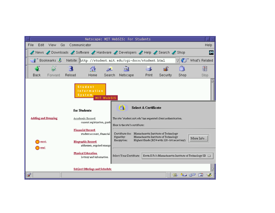|   |                        |      |                            |                                                                                                                 |                                                                            |                   | Netscape: MIT WebSIS: For Students                                                                            |                             |                                                                                      |      |                |
|---|------------------------|------|----------------------------|-----------------------------------------------------------------------------------------------------------------|----------------------------------------------------------------------------|-------------------|---------------------------------------------------------------------------------------------------------------|-----------------------------|--------------------------------------------------------------------------------------|------|----------------|
|   | File                   | Edit | View<br>Go                 | Communicator                                                                                                    |                                                                            |                   |                                                                                                               |                             |                                                                                      |      | Help           |
|   |                        |      |                            |                                                                                                                 | News / Downloads / Software / Hardware / Developers / Help / Search / Shop |                   |                                                                                                               |                             |                                                                                      |      | ЦN.            |
|   |                        |      |                            |                                                                                                                 | Bookmarks & Netsite: [http://student.mit.edu/cgi-docs/student.html         |                   |                                                                                                               |                             |                                                                                      |      | What's Related |
|   |                        |      |                            |                                                                                                                 | 分                                                                          |                   | Mu                                                                                                            |                             |                                                                                      |      |                |
|   | Back                   |      | Forward                    | Reload                                                                                                          | Home                                                                       | Search            | Netscape                                                                                                      | Print                       | Security                                                                             | Shop | Stop           |
|   |                        |      |                            |                                                                                                                 | <b>Student</b><br>Information<br>System <sub>1</sub>                       | <b>MIT WebSIS</b> |                                                                                                               |                             |                                                                                      |      |                |
|   |                        |      | <b>Adding and Dropping</b> | for Students<br>Academic Record<br>current registration, grade                                                  |                                                                            |                   | a.<br>The site 'student.mit.edu' has requested client authentication.<br>Here is the site's certificate: $\,$ | <b>Select A Certificate</b> |                                                                                      |      |                |
|   | search<br><u>email</u> |      |                            | <b>Financial Record</b><br>student account, financial<br><b>Biographic Record</b><br>addresses, required emerge |                                                                            |                   | Certificate for: Massachusetts Institute of Technology<br>Signed by:<br>Encryption:                           |                             | Massachusetts Institute of Technology<br>Highest Grade (RC4 with 128-bit secret key) |      | More Info.     |
|   |                        |      |                            |                                                                                                                 | <b>Physical Education</b><br>lottery and information                       |                   | Select Your Certificate:   Kevin E Fu's Massachusetts Institute of Technology ID   1                          |                             |                                                                                      |      |                |
|   |                        |      |                            |                                                                                                                 | <b>Subject Offerings and Schedule</b>                                      |                   |                                                                                                               |                             |                                                                                      |      |                |
| ď |                        |      |                            |                                                                                                                 |                                                                            |                   |                                                                                                               |                             | 關                                                                                    |      | - 6P<br>ЕM     |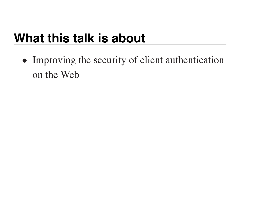## **What this talk is about**

• Improving the security of client authentication on the Web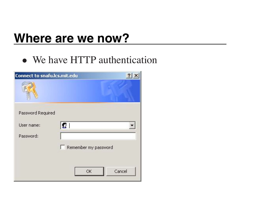#### **Where are we now?**

• We have HTTP authentication

| <b>Connect to snafu.lcs.mit.edu</b> |                      |
|-------------------------------------|----------------------|
|                                     |                      |
| Password Required                   |                      |
| User name:                          | $\mathbf G$          |
| Password:                           |                      |
|                                     | Remember my password |
|                                     |                      |
|                                     | Cancel<br>OK         |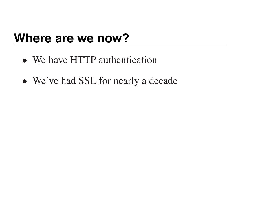#### **Where are we now?**

- We have HTTP authentication
- We've had SSL for nearly a decade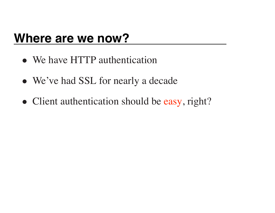#### **Where are we now?**

- We have HTTP authentication
- We've had SSL for nearly a decade
- Client authentication should be easy, right?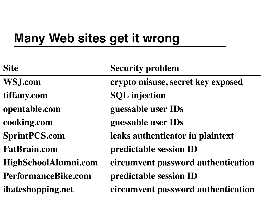#### **Many Web sites get it wrong**

| <b>Site</b>                | <b>Security problem</b>            |
|----------------------------|------------------------------------|
| <b>WSJ.com</b>             | crypto misuse, secret key exposed  |
| tiffany.com                | <b>SQL</b> injection               |
| opentable.com              | guessable user IDs                 |
| cooking.com                | guessable user IDs                 |
| <b>SprintPCS.com</b>       | leaks authenticator in plaintext   |
| <b>FatBrain.com</b>        | predictable session ID             |
| HighSchoolAlumni.com       | circumvent password authentication |
| <b>PerformanceBike.com</b> | predictable session ID             |
| ihateshopping.net          | circumvent password authentication |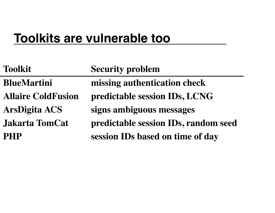#### **Toolkits are vulnerable too**

| <b>Toolkit</b>            | <b>Security problem</b>              |
|---------------------------|--------------------------------------|
| <b>BlueMartini</b>        | missing authentication check         |
| <b>Allaire ColdFusion</b> | predictable session IDs, LCNG        |
| <b>ArsDigita ACS</b>      | signs ambiguous messages             |
| <b>Jakarta TomCat</b>     | predictable session IDs, random seed |
| <b>PHP</b>                | session IDs based on time of day     |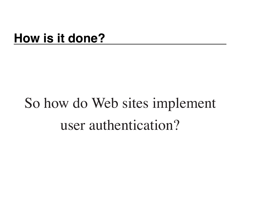#### **How is it done?**

## So how do Web sites implement user authentication?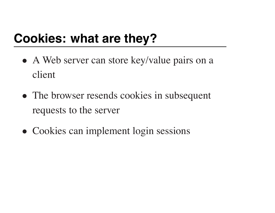## **Cookies: what are they?**

- A Web server can store key/value pairs on a client
- The browser resends cookies in subsequent requests to the server
- Cookies can implement login sessions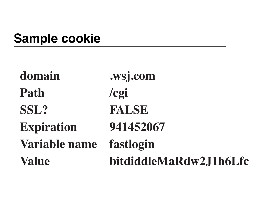## **Sample cookie**

| domain            | .wsj.com               |
|-------------------|------------------------|
| Path              | $\log i$               |
| SSL?              | <b>FALSE</b>           |
| <b>Expiration</b> | 941452067              |
| Variable name     | fastlogin              |
| <b>Value</b>      | bitdiddleMaRdw2J1h6Lfc |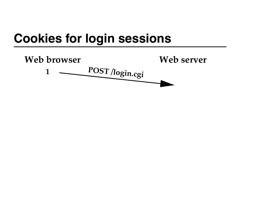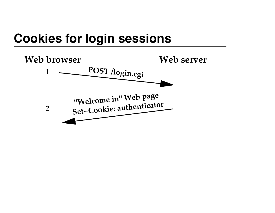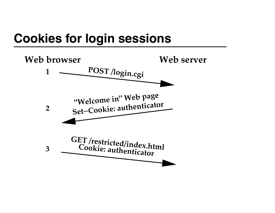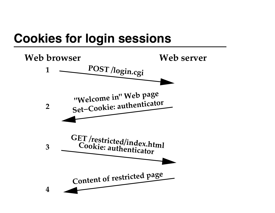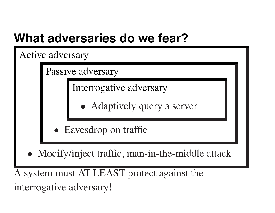### **What adversaries do we fear?**

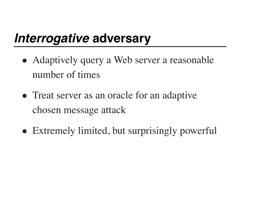#### *Interrogative* **adversary**

- Adaptively query a Web server a reasonable number of times
- Treat server as an oracle for an adaptive chosen message attack
- Extremely limited, but surprisingly powerful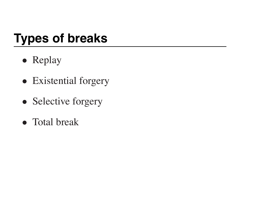## **Types of breaks**

- Replay
- Existential forgery
- Selective forgery
- Total break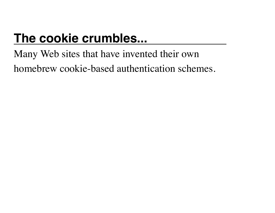## **The cookie crumbles...**

#### Many Web sites that have invented their own homebrew cookie-based authentication schemes.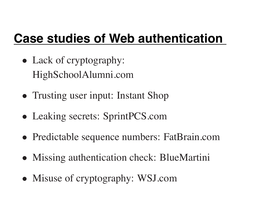## **Case studies of Web authentication**

- Lack of cryptography: HighSchoolAlumni.com
- Trusting user input: Instant Shop
- Leaking secrets: SprintPCS.com
- Predictable sequence numbers: FatBrain.com
- Missing authentication check: BlueMartini
- Misuse of cryptography: WSJ.com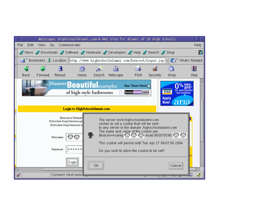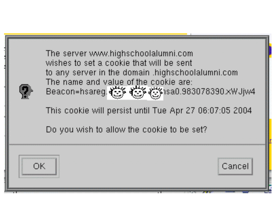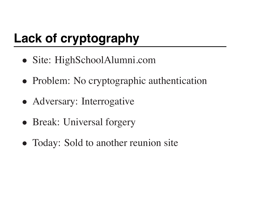## **Lack of cryptography**

- Site: HighSchoolAlumni.com
- Problem: No cryptographic authentication
- Adversary: Interrogative
- Break: Universal forgery
- Today: Sold to another reunion site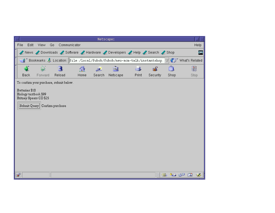|                | Netscape: |                                                 |                                         |                                                                            |        |          |       |          |      |                                |      |  |
|----------------|-----------|-------------------------------------------------|-----------------------------------------|----------------------------------------------------------------------------|--------|----------|-------|----------|------|--------------------------------|------|--|
| File           | Edit      | View                                            | Go                                      | Communicator                                                               |        |          |       |          |      |                                | Help |  |
|                |           |                                                 |                                         | News / Downloads / Software / Hardware / Developers / Help / Search / Shop |        |          |       |          |      |                                | W    |  |
|                |           |                                                 |                                         | File:/local/fubob/fubob/neu-acm-talk/instantshop.                          |        |          |       |          |      | (D <sup>*</sup> What's Related |      |  |
|                |           |                                                 |                                         | 發                                                                          | D.     | 哅        |       | e£.      | ത്   |                                | 3    |  |
| Back           |           | Forward                                         | Reload                                  | Home                                                                       | Search | Netscape | Print | Security | Shop |                                | Stop |  |
|                |           |                                                 | To confirm your purchase, submit below. |                                                                            |        |          |       |          |      |                                |      |  |
| Batteries \$10 |           | Biology textbook \$99<br>Britney Spears CD \$25 | Submit Query Confirm purchase           |                                                                            |        |          |       |          |      |                                |      |  |
| F              |           |                                                 |                                         |                                                                            |        |          |       | 鬪        |      | 茶偶的国                           |      |  |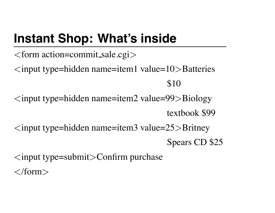## **Instant Shop: What's inside**

 $<$ form action=commit\_sale.cgi $>$  $\langle$ input type=hidden name=item1 value=10>Batteries \$10  $\langle$ input type=hidden name=item2 value=99 $>$ Biology textbook \$99  $\langle$ input type=hidden name=item3 value=25 $>$ Britney Spears CD \$25  $\langle$ input type=submit $\rangle$ Confirm purchase  $\langle$ form $\rangle$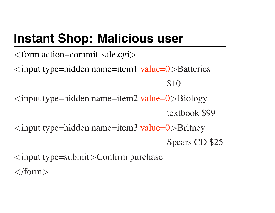## **Instant Shop: Malicious user**

 $<$ form action=commit\_sale.cgi $>$  $\langle$ input type=hidden name=item1 value=0 $\rangle$ Batteries \$10  $\langle$ input type=hidden name=item2 value=0>Biology textbook \$99  $\langle$ input type=hidden name=item3 value=0 $\rangle$ Britney Spears CD \$25  $\langle$ input type=submit $\rangle$ Confirm purchase  $\langle$ form $\rangle$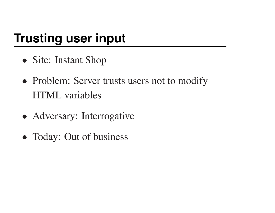## **Trusting user input**

- Site: Instant Shop
- Problem: Server trusts users not to modify HTML variables
- Adversary: Interrogative
- Today: Out of business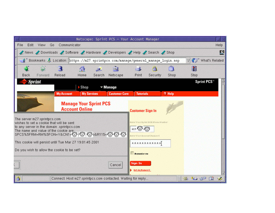|                                                                                                                                                                                                                                                                                                                                                          |                                                                                   | Netscape: Sprint PCS - Your Account Manager |                              |                                                                               |           |                     |                   |                               |  |  |  |
|----------------------------------------------------------------------------------------------------------------------------------------------------------------------------------------------------------------------------------------------------------------------------------------------------------------------------------------------------------|-----------------------------------------------------------------------------------|---------------------------------------------|------------------------------|-------------------------------------------------------------------------------|-----------|---------------------|-------------------|-------------------------------|--|--|--|
| File<br>Edit<br>View                                                                                                                                                                                                                                                                                                                                     | Help<br>Go<br><b>Communicator</b>                                                 |                                             |                              |                                                                               |           |                     |                   |                               |  |  |  |
| News / Downloads / Software / Hardware / Developers / Help / Search / Shop                                                                                                                                                                                                                                                                               |                                                                                   |                                             |                              |                                                                               |           |                     |                   |                               |  |  |  |
|                                                                                                                                                                                                                                                                                                                                                          | S Bookmarks & Location: https://m27.sprintpcs.com/manage/general_manage_login.asp |                                             |                              |                                                                               |           |                     | What's Related    |                               |  |  |  |
|                                                                                                                                                                                                                                                                                                                                                          |                                                                                   | 分                                           | My                           | $-6$                                                                          | P.        | $\overline{\omega}$ | u                 |                               |  |  |  |
| Back<br>Forward                                                                                                                                                                                                                                                                                                                                          | Reload                                                                            | Home<br>Search                              | Netscape                     | Print                                                                         | Security: | Shop                | Stop              |                               |  |  |  |
| Sprint.                                                                                                                                                                                                                                                                                                                                                  |                                                                                   | $\blacktriangleright$ Shop                  | $\blacktriangleright$ Manage |                                                                               |           |                     |                   | <b>Sprint PCS<sup>®</sup></b> |  |  |  |
|                                                                                                                                                                                                                                                                                                                                                          | <b>My Account</b>                                                                 | <b>My Services</b>                          | <b>Customer Care</b>         | <b>Tutorials</b>                                                              |           | ? Help              |                   |                               |  |  |  |
|                                                                                                                                                                                                                                                                                                                                                          | <b>Account Online</b>                                                             | <b>Manage Your Sprint PCS</b>               |                              | <b>Customer Sign In</b>                                                       |           |                     |                   |                               |  |  |  |
| The server m27.sprintpcs.com<br>wishes to set a cookie that will be sent<br>to any server in the domain .sprintpcs.com<br>The name and value of the cookie are with the server of the cookie are with the server of the server of the server of the server of the server of the server of the server of the server of the server of the server of the se |                                                                                   |                                             |                              | Enter Your Sprint DCS Dhone Number<br>$617 - 189$<br>er Your Account Password |           |                     |                   |                               |  |  |  |
| This cookie will persist until Tue Mar 27 19:01:45 2001<br>Do you wish to allow the cookie to be set?                                                                                                                                                                                                                                                    |                                                                                   |                                             | ************<br>Remember me  |                                                                               |           |                     |                   |                               |  |  |  |
|                                                                                                                                                                                                                                                                                                                                                          |                                                                                   |                                             | Cancel                       | Sign In<br>Get my Password                                                    |           |                     |                   |                               |  |  |  |
| I8                                                                                                                                                                                                                                                                                                                                                       | Connect: Host m27.sprintpcs.com contacted. Waiting for reply                      |                                             |                              |                                                                               |           | 鬪                   | <u>ja da</u><br>磁 | 国                             |  |  |  |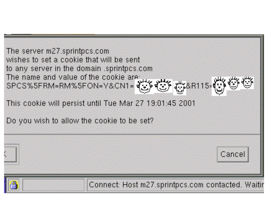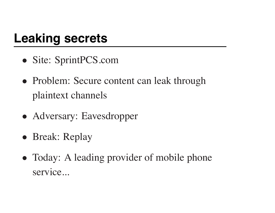#### **Leaking secrets**

- Site: SprintPCS.com
- Problem: Secure content can leak through plaintext channels
- Adversary: Eavesdropper
- Break: Replay
- Today: A leading provider of mobile phone service...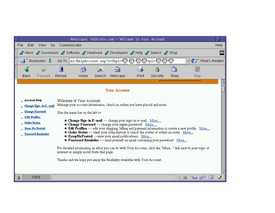|                                                                                                                                                                                                                                                                                                                                                                                                                                                                                                                                                                                                                                                                                                                                                                                                                                                                                                                                                                                                                                                                     |                                                                                                    |              |         |        | Netscape: Fatbrain.com - Welcome to Your Account |        |          |       |          |      |                      |    |      |
|---------------------------------------------------------------------------------------------------------------------------------------------------------------------------------------------------------------------------------------------------------------------------------------------------------------------------------------------------------------------------------------------------------------------------------------------------------------------------------------------------------------------------------------------------------------------------------------------------------------------------------------------------------------------------------------------------------------------------------------------------------------------------------------------------------------------------------------------------------------------------------------------------------------------------------------------------------------------------------------------------------------------------------------------------------------------|----------------------------------------------------------------------------------------------------|--------------|---------|--------|--------------------------------------------------|--------|----------|-------|----------|------|----------------------|----|------|
|                                                                                                                                                                                                                                                                                                                                                                                                                                                                                                                                                                                                                                                                                                                                                                                                                                                                                                                                                                                                                                                                     | File                                                                                               | Edit<br>View | Go      |        | Communicator                                     |        |          |       |          |      |                      |    | Help |
|                                                                                                                                                                                                                                                                                                                                                                                                                                                                                                                                                                                                                                                                                                                                                                                                                                                                                                                                                                                                                                                                     | News Downloads Software Hardware Developers Help Search Shop                                       |              |         |        |                                                  |        |          |       |          |      |                      |    |      |
|                                                                                                                                                                                                                                                                                                                                                                                                                                                                                                                                                                                                                                                                                                                                                                                                                                                                                                                                                                                                                                                                     | Go To: mt/HelpAccount. asp?t=0&p1=C3 C3 C3 C3 &p2=C3 C3 C3<br><b>S</b> Bookmarks<br>What's Related |              |         |        |                                                  |        |          |       |          |      |                      |    |      |
|                                                                                                                                                                                                                                                                                                                                                                                                                                                                                                                                                                                                                                                                                                                                                                                                                                                                                                                                                                                                                                                                     |                                                                                                    |              |         |        | ⚠                                                |        | Mu       |       |          |      |                      |    |      |
|                                                                                                                                                                                                                                                                                                                                                                                                                                                                                                                                                                                                                                                                                                                                                                                                                                                                                                                                                                                                                                                                     | Back                                                                                               |              | Forward | Reload | Home                                             | Search | Netscape | Print | Security | Shop | Stop                 |    |      |
|                                                                                                                                                                                                                                                                                                                                                                                                                                                                                                                                                                                                                                                                                                                                                                                                                                                                                                                                                                                                                                                                     | <b>Your Account</b>                                                                                |              |         |        |                                                  |        |          |       |          |      |                      |    |      |
| Account Help<br>Welcome to Your Account.<br>Manage your account information, check on orders you have placed and more.<br><b>Change Sign-in E-mail</b><br><b>Change Password</b><br>Use the menu bar on the left to:<br><b>Edit Profiles</b><br><b>• Change Sign-in E-mail --</b> change your sign-in e-mail. More<br>. Order Status<br><b>• Change Password</b> -- change your signin password. More<br><b>Edit Profiles</b> -- edit your shipping, billing and payment information or create a new profile. More<br><b>Keep Me Posted</b><br>Order Status -- view your order history or check the status of orders en route. More<br><b>Password Reminder</b><br><b>Example KeepMePosted --view your email notifications.</b> More<br><b>• Password Reminder</b> -- send yourself an email containing your password. More<br>For detailed information on what you can do with Your Account, click the "More" link next to your topic of<br>interest or simply scroll down this page.<br>Thanks and we hope you enjoy the flexibility available with Your Account. |                                                                                                    |              |         |        |                                                  |        |          |       |          |      |                      |    |      |
| A                                                                                                                                                                                                                                                                                                                                                                                                                                                                                                                                                                                                                                                                                                                                                                                                                                                                                                                                                                                                                                                                   |                                                                                                    | 100%         |         |        |                                                  |        |          |       |          | 關    | <u>Ja J</u> o<br>-31 | EM |      |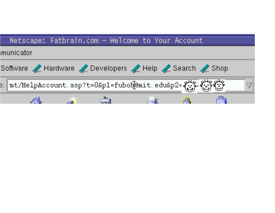|                                                         |  |  | Netscape: Fatbrain.com - Welcome to Your Account |  |  |  |  |  |  |  |  |
|---------------------------------------------------------|--|--|--------------------------------------------------|--|--|--|--|--|--|--|--|
| Imunicator                                              |  |  |                                                  |  |  |  |  |  |  |  |  |
| Software A Hardware 2 Developers A Help 2 Search 2 Shop |  |  |                                                  |  |  |  |  |  |  |  |  |
|                                                         |  |  |                                                  |  |  |  |  |  |  |  |  |
|                                                         |  |  |                                                  |  |  |  |  |  |  |  |  |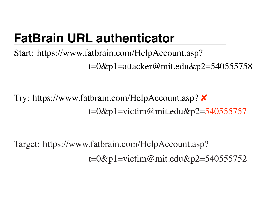## **FatBrain URL authenticator**

Start: https://www.fatbrain.com/HelpAccount.asp? t=0&p1=attacker@mit.edu&p2=540555758

Try: https://www.fatbrain.com/HelpAccount.asp?  $\boldsymbol{\mathsf{X}}$ t=0&p1=victim@mit.edu&p2=540555757

Target: https://www.fatbrain.com/HelpAccount.asp? t=0&p1=victim@mit.edu&p2=540555752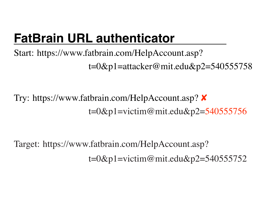## **FatBrain URL authenticator**

Start: https://www.fatbrain.com/HelpAccount.asp? t=0&p1=attacker@mit.edu&p2=540555758

Try: https://www.fatbrain.com/HelpAccount.asp?  $\boldsymbol{\mathsf{X}}$  $t=0$ &p1=victim@mit.edu&p2=540555756

Target: https://www.fatbrain.com/HelpAccount.asp? t=0&p1=victim@mit.edu&p2=540555752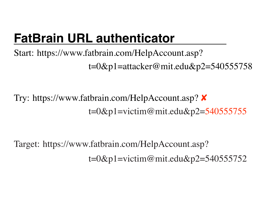Start: https://www.fatbrain.com/HelpAccount.asp? t=0&p1=attacker@mit.edu&p2=540555758

Try: https://www.fatbrain.com/HelpAccount.asp?  $\boldsymbol{\mathsf{X}}$ t=0&p1=victim@mit.edu&p2=540555755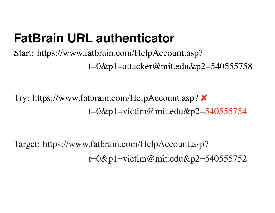Start: https://www.fatbrain.com/HelpAccount.asp? t=0&p1=attacker@mit.edu&p2=540555758

Try: https://www.fatbrain.com/HelpAccount.asp?  $\boldsymbol{\mathsf{X}}$ t=0&p1=victim@mit.edu&p2=540555754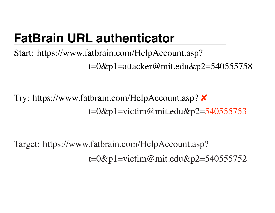Start: https://www.fatbrain.com/HelpAccount.asp? t=0&p1=attacker@mit.edu&p2=540555758

Try: https://www.fatbrain.com/HelpAccount.asp?  $\boldsymbol{\mathsf{X}}$ t=0&p1=victim@mit.edu&p2=540555753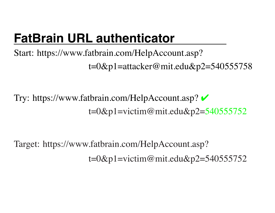Start: https://www.fatbrain.com/HelpAccount.asp? t=0&p1=attacker@mit.edu&p2=540555758

Try: https://www.fatbrain.com/HelpAccount.asp?  $t=0$ &p1=victim@mit.edu&p2=540555752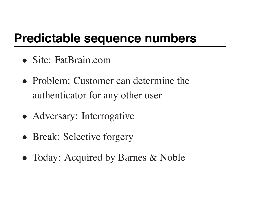### **Predictable sequence numbers**

- Site: FatBrain.com
- Problem: Customer can determine the authenticator for any other user
- Adversary: Interrogative
- Break: Selective forgery
- Today: Acquired by Barnes & Noble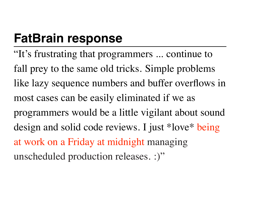### **FatBrain response**

"It's frustrating that programmers ... continue to fall prey to the same old tricks. Simple problems like lazy sequence numbers and buffer overflows in most cases can be easily eliminated if we as programmers would be a little vigilant about sound design and solid code reviews. I just \*love\* being at work on a Friday at midnight managing unscheduled production releases. :)"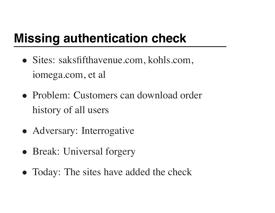### **Missing authentication check**

- Sites: saksfifthavenue.com, kohls.com, iomega.com, et al
- Problem: Customers can download order history of all users
- Adversary: Interrogative
- Break: Universal forgery
- Today: The sites have added the check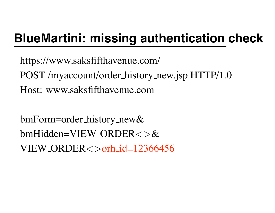### **BlueMartini: missing authentication check**

https://www.saksfifthavenue.com/ POST /myaccount/order history new.jsp HTTP/1.0 Host: www.saksfifthavenue.com

bmForm=order history new& bmHidden=VIEW ORDER<>&  $VIEW_QRDER <$ orh  $id=12366456$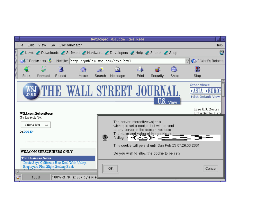|   |                                               |                                                                                            |        |                                                                            |        | Netscape: WSJ.com Home Page                                                                                                                                                                                                                         |       |          |             |                       |                                                                            |
|---|-----------------------------------------------|--------------------------------------------------------------------------------------------|--------|----------------------------------------------------------------------------|--------|-----------------------------------------------------------------------------------------------------------------------------------------------------------------------------------------------------------------------------------------------------|-------|----------|-------------|-----------------------|----------------------------------------------------------------------------|
|   | File<br>Edit                                  | View<br>Go.                                                                                |        | Communicator                                                               |        |                                                                                                                                                                                                                                                     |       |          |             |                       | Help                                                                       |
|   |                                               |                                                                                            |        | News / Downloads / Software / Hardware / Developers / Help / Search / Shop |        |                                                                                                                                                                                                                                                     |       |          |             |                       | AU.                                                                        |
|   |                                               | <b>Bookmarks</b>                                                                           |        | Netsite: http://public.wsj.com/home.html                                   |        |                                                                                                                                                                                                                                                     |       |          |             |                       | (a) What's Related                                                         |
|   |                                               |                                                                                            |        | 分                                                                          |        | My                                                                                                                                                                                                                                                  |       | eΓ       | 商.          | u                     |                                                                            |
|   | Back                                          | Forward                                                                                    | Reload | Home                                                                       | Search | Netscape                                                                                                                                                                                                                                            | Print | Security | Shop        | Stop                  |                                                                            |
|   |                                               | <b>WSJ.com Subscribers</b>                                                                 |        |                                                                            |        | JJJ STREET JOU                                                                                                                                                                                                                                      |       |          | $U.S.$ View | Other Views:<br>∗ASIA | ▶EUROI<br>Set Default View<br>Free U.S. Quotes<br><u>Enter Symbol Here</u> |
|   | Go Directly To:<br>Select a Page<br>Or LOG IN | ▭                                                                                          |        |                                                                            | ę.     | The server interactive.wsj.com<br>wishes to set a cookie that will be sent<br>to any server in the domain .wsj.com<br>The name and value of the cookie are:<br>fastlogin= $\blacksquare$<br>This cookie will persist until Sun Feb 25 07:26:53 2001 |       |          |             |                       |                                                                            |
|   |                                               | WSJ.COM SUBSCRIBERS ONLY<br><b>Top Business News</b><br>Employers Plan Slight Scaling Back |        | Davis Says California Has Deal With Utility                                |        | Do you wish to allow the cookie to be set?<br>ОΚ                                                                                                                                                                                                    |       |          |             |                       | Cancel                                                                     |
| ď |                                               | 100%                                                                                       |        | 100% of 7K (at 227 bytes/sell                                              |        |                                                                                                                                                                                                                                                     |       |          |             |                       |                                                                            |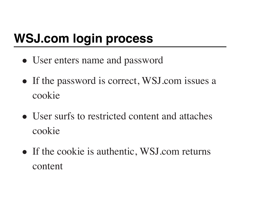## **WSJ.com login process**

- User enters name and password
- If the password is correct, WSJ.com issues a cookie
- User surfs to restricted content and attaches cookie
- If the cookie is authentic, WSJ.com returns content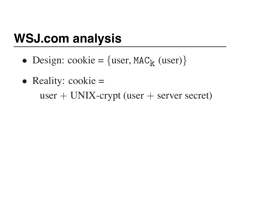### **WSJ.com analysis**

- Design: cookie =  $\{user, MAC_k (user)\}\$
- Reality:  $\text{cookie} =$  $user + UNIX$ -crypt (user  $+$  server secret)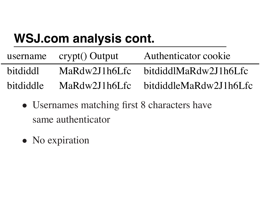# **WSJ.com analysis cont.**

|           | username crypt() Output | Authenticator cookie   |
|-----------|-------------------------|------------------------|
| bitdiddl  | MaRdw2J1h6Lfc           | bitdiddlMaRdw2J1h6Lfc  |
| bitdiddle | MaRdw2J1h6Lfc           | bitdiddleMaRdw2J1h6Lfc |

- Usernames matching first 8 characters have same authenticator
- No expiration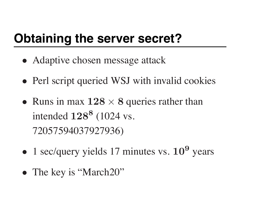### **Obtaining the server secret?**

- Adaptive chosen message attack
- Perl script queried WSJ with invalid cookies
- Runs in max  $128 \times 8$  queries rather than intended  $128^8$  (1024 vs. 72057594037927936)
- 1 sec/query yields 17 minutes vs.  $10^9$  years
- The key is "March20"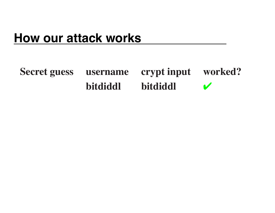#### **Secret guess username crypt input worked? bitdiddl bitdiddl**  $\boldsymbol{\nu}$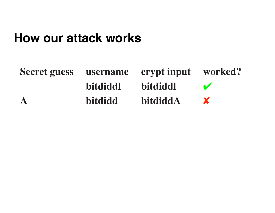| Secret guess username crypt input worked? |                |                 |   |
|-------------------------------------------|----------------|-----------------|---|
|                                           | bitdiddl       | <b>bitdiddl</b> |   |
| $\mathbf{A}$                              | <b>bitdidd</b> | bitdiddA        | X |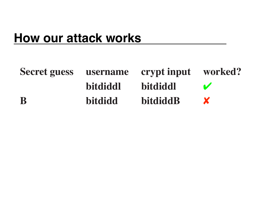| Secret guess username crypt input worked? |                 |                 |  |
|-------------------------------------------|-----------------|-----------------|--|
|                                           | <b>bitdiddl</b> | bitdiddl        |  |
| B                                         | <b>bitdidd</b>  | <b>bitdiddB</b> |  |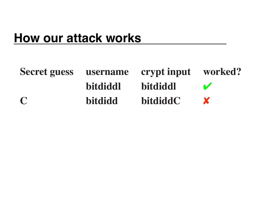| Secret guess username crypt input worked? |                |                 |          |
|-------------------------------------------|----------------|-----------------|----------|
|                                           | bitdiddl       | <b>bitdiddl</b> | <b>M</b> |
| $\Gamma$                                  | <b>bitdidd</b> | <b>bitdiddC</b> |          |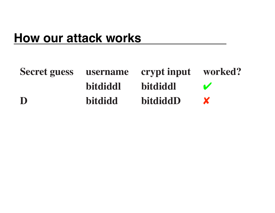| Secret guess username crypt input worked? |                 |                 |            |
|-------------------------------------------|-----------------|-----------------|------------|
|                                           | <b>bitdiddl</b> | <b>bitdiddl</b> | $\sqrt{2}$ |
| D                                         | <b>bitdidd</b>  | bitdiddD        |            |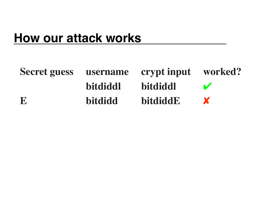| Secret guess username crypt input worked? |                |                 |              |
|-------------------------------------------|----------------|-----------------|--------------|
|                                           | bitdiddl       | <b>bitdiddl</b> | $\mathbf{V}$ |
| E                                         | <b>bitdidd</b> | bitdiddE        |              |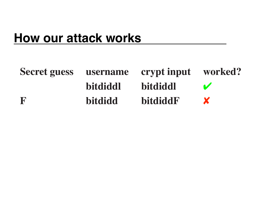| Secret guess username crypt input worked? |                |                 |                      |
|-------------------------------------------|----------------|-----------------|----------------------|
|                                           | bitdiddl       | <b>bitdiddl</b> | <b>Marine Street</b> |
| R                                         | <b>bitdidd</b> | <b>bitdiddF</b> | $\mathbf{X}$         |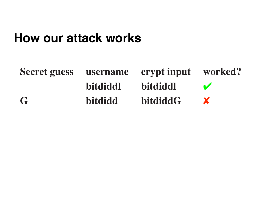| Secret guess username crypt input worked? |                |                 |              |
|-------------------------------------------|----------------|-----------------|--------------|
|                                           | bitdiddl       | <b>bitdiddl</b> |              |
| $\mathbf G$                               | <b>bitdidd</b> | bitdiddG        | $\mathbf{X}$ |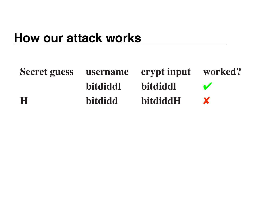| Secret guess username crypt input worked? |                 |                 |              |
|-------------------------------------------|-----------------|-----------------|--------------|
|                                           | <b>bitdiddl</b> | <b>bitdiddl</b> | $\sqrt{2}$   |
| H                                         | <b>bitdidd</b>  | bitdiddH        | $\mathbf{X}$ |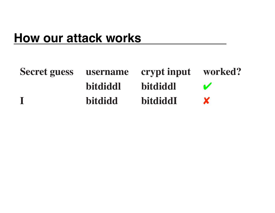| Secret guess username crypt input worked? |                 |                 |              |
|-------------------------------------------|-----------------|-----------------|--------------|
|                                           | <b>bitdiddl</b> | <b>bitdiddl</b> | $\mathbf{V}$ |
|                                           | <b>bitdidd</b>  | <b>bitdiddI</b> | X            |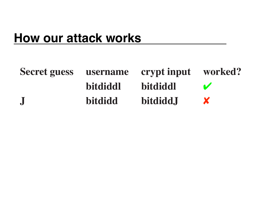| <b>Secret guess</b> |                | username crypt input worked? |   |
|---------------------|----------------|------------------------------|---|
|                     | bitdiddl       | <b>bitdiddl</b>              |   |
| $\bf J$             | <b>bitdidd</b> | bitdidd.J                    | X |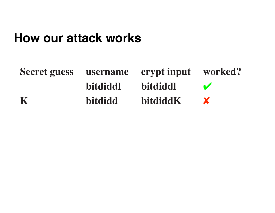| Secret guess username crypt input worked? |                 |                 |            |
|-------------------------------------------|-----------------|-----------------|------------|
|                                           | <b>bitdiddl</b> | <b>bitdiddl</b> | $\sqrt{2}$ |
| K                                         | <b>bitdidd</b>  | bitdiddK        |            |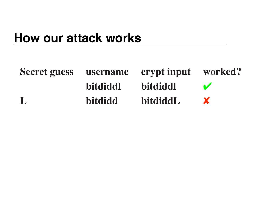| <b>Secret guess</b> |                 | username crypt input worked? |        |
|---------------------|-----------------|------------------------------|--------|
|                     | <b>bitdiddl</b> | bitdiddl                     | $\sim$ |
|                     | <b>bitdidd</b>  | bitdiddL                     |        |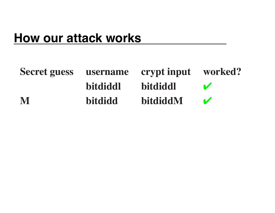| Secret guess username crypt input worked? |                |                 |              |
|-------------------------------------------|----------------|-----------------|--------------|
|                                           | bitdiddl       | <b>bitdiddl</b> | $\mathbf{v}$ |
| M                                         | <b>bitdidd</b> | bitdiddM        | $\mathbf{V}$ |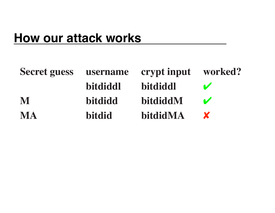| <b>Secret guess</b> | username       | crypt input worked? |              |
|---------------------|----------------|---------------------|--------------|
|                     | bitdiddl       | bitdiddl            | $\mathbf{V}$ |
| M                   | <b>bitdidd</b> | bitdiddM            | $\mathbf{v}$ |
| <b>MA</b>           | <b>bitdid</b>  | bitdidMA            | X            |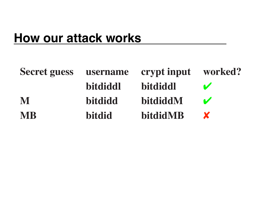| <b>Secret guess</b> |                | username crypt input worked? |              |
|---------------------|----------------|------------------------------|--------------|
|                     | bitdiddl       | bitdiddl                     | $\mathbf{r}$ |
| M                   | <b>bitdidd</b> | bitdiddM                     | $\mathbf{v}$ |
| <b>MB</b>           | <b>bitdid</b>  | bitdidMB                     | X            |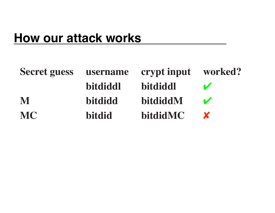| <b>Secret guess</b> | username       | crypt input worked? |              |
|---------------------|----------------|---------------------|--------------|
|                     | bitdiddl       | bitdiddl            | $\mathbf{v}$ |
| M                   | <b>bitdidd</b> | bitdiddM            | $\mathbf{v}$ |
| <b>MC</b>           | <b>bitdid</b>  | <b>bitdidMC</b>     | X            |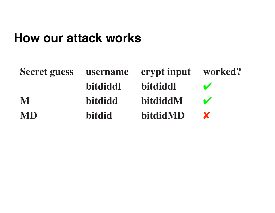| <b>Secret guess</b> | username       | crypt input worked? |              |
|---------------------|----------------|---------------------|--------------|
|                     | bitdiddl       | bitdiddl            | $\mathbf{v}$ |
| M                   | <b>bitdidd</b> | bitdiddM            | $\sim$       |
| <b>MD</b>           | <b>bitdid</b>  | bitdidMD            | X            |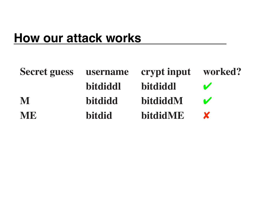| <b>Secret guess</b> |                | username crypt input worked? |              |
|---------------------|----------------|------------------------------|--------------|
|                     | bitdiddl       | bitdiddl                     | $\mathbf{v}$ |
| M                   | <b>bitdidd</b> | bitdiddM                     | $\mathbf{v}$ |
| <b>ME</b>           | <b>bitdid</b>  | bitdidME                     | X            |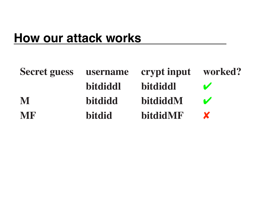| <b>Secret guess</b> | username       | crypt input worked? |              |
|---------------------|----------------|---------------------|--------------|
|                     | bitdiddl       | bitdiddl            | $\mathbf{v}$ |
| M                   | <b>bitdidd</b> | bitdiddM            | $\mathbf{v}$ |
| <b>MF</b>           | <b>bitdid</b>  | <b>bitdidMF</b>     | X            |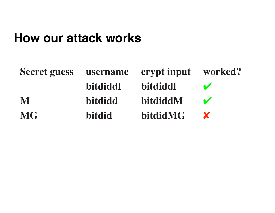| <b>Secret guess</b> | username       | crypt input worked? |              |
|---------------------|----------------|---------------------|--------------|
|                     | bitdiddl       | bitdiddl            | $\mathbf{v}$ |
| M                   | <b>bitdidd</b> | bitdiddM            | $\mathbf{v}$ |
| <b>MG</b>           | <b>bitdid</b>  | bitdidMG            | X            |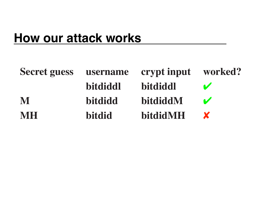| <b>Secret guess</b> | username       | crypt input worked? |              |
|---------------------|----------------|---------------------|--------------|
|                     | bitdiddl       | bitdiddl            | $\mathbf{v}$ |
| M                   | <b>bitdidd</b> | bitdiddM            | $\mathbf{v}$ |
| <b>MH</b>           | <b>bitdid</b>  | bitdidMH            | X            |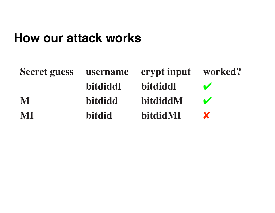| <b>Secret guess</b> |                | username crypt input worked? |              |
|---------------------|----------------|------------------------------|--------------|
|                     | bitdiddl       | <b>bitdiddl</b>              | $\sim$       |
| M                   | <b>bitdidd</b> | bitdiddM                     | $\mathbf{v}$ |
| MI                  | bitdid         | bitdidMI                     | X            |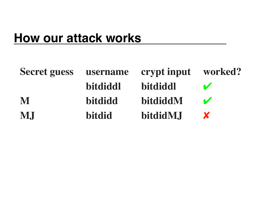| <b>Secret guess</b> |                | username crypt input worked? |              |
|---------------------|----------------|------------------------------|--------------|
|                     | bitdiddl       | bitdiddl                     | $\sim$       |
| M                   | <b>bitdidd</b> | bitdiddM                     | $\mathbf{v}$ |
| M.J                 | <b>bitdid</b>  | bitdidM.J                    | X            |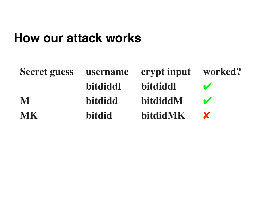| <b>Secret guess</b> | username       | crypt input worked? |              |
|---------------------|----------------|---------------------|--------------|
|                     | bitdiddl       | <b>bitdiddl</b>     | $\sqrt{2}$   |
| M                   | <b>bitdidd</b> | bitdiddM            | $\mathbf{v}$ |
| <b>MK</b>           | <b>bitdid</b>  | <b>bitdidMK</b>     | X            |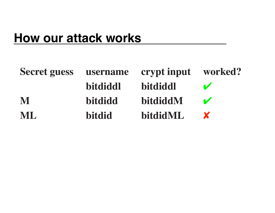| <b>Secret guess</b> |                | username crypt input worked? |              |
|---------------------|----------------|------------------------------|--------------|
|                     | bitdiddl       | bitdiddl                     | $\mathbf{v}$ |
| M                   | <b>bitdidd</b> | bitdiddM                     | $\mathbf{v}$ |
| ML                  | <b>bitdid</b>  | bitdidML                     | X            |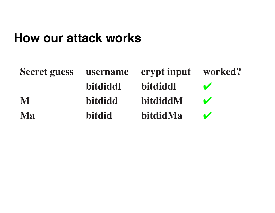| <b>Secret guess</b> | username       | crypt input | worked?                    |
|---------------------|----------------|-------------|----------------------------|
|                     | bitdiddl       | bitdiddl    | $\mathbf{v}$               |
| M                   | <b>bitdidd</b> | bitdiddM    | $\sqrt{2}$                 |
| <b>Ma</b>           | <b>bitdid</b>  | bitdidMa    | $\boldsymbol{\mathcal{U}}$ |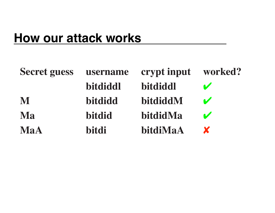| <b>Secret guess</b> | username      | crypt input | worked?      |
|---------------------|---------------|-------------|--------------|
|                     | bitdiddl      | bitdiddl    | $\sqrt{2}$   |
| M                   | bitdidd       | bitdiddM    | $\mathbf{v}$ |
| Ma                  | <b>bitdid</b> | bitdidMa    | $\mathbf{v}$ |
| <b>MaA</b>          | bitdi         | bitdiMaA    | X            |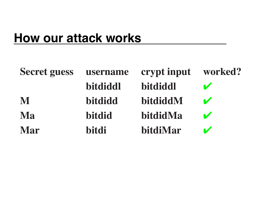| <b>Secret guess</b> | username | crypt input | worked?                    |
|---------------------|----------|-------------|----------------------------|
|                     | bitdiddl | bitdiddl    | $\sqrt{2}$                 |
| M                   | bitdidd  | bitdiddM    | $\boldsymbol{\mathcal{U}}$ |
| <b>Ma</b>           | bitdid   | bitdidMa    | $\mathbf{v}$               |
| <b>Mar</b>          | bitdi    | bitdiMar    | $\mathbf{z}$               |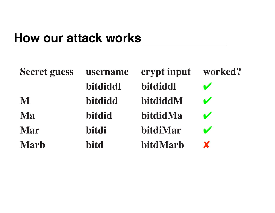| <b>Secret guess</b> | username      | crypt input | worked?                    |
|---------------------|---------------|-------------|----------------------------|
|                     | bitdiddl      | bitdiddl    | V                          |
| M                   | bitdidd       | bitdiddM    | $\boldsymbol{\mathcal{U}}$ |
| Ma                  | <b>bitdid</b> | bitdidMa    | $\mathbf{v}$               |
| Mar                 | bitdi         | bitdiMar    | $\mathbf{v}$               |
| <b>Marb</b>         | bitd          | bitdMarb    | X                          |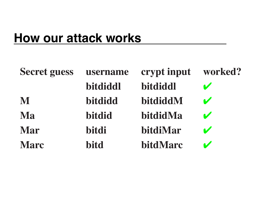| <b>Secret guess</b> | username    | crypt input | worked?                    |
|---------------------|-------------|-------------|----------------------------|
|                     | bitdiddl    | bitdiddl    | $\blacktriangledown$       |
| M                   | bitdidd     | bitdiddM    | $\boldsymbol{\mathcal{U}}$ |
| Ma                  | bitdid      | bitdidMa    | $\mathbf{v}$               |
| Mar                 | bitdi       | bitdiMar    | $\mathbf{v}$               |
| <b>Marc</b>         | <b>bitd</b> | bitdMarc    | $\mathbf{v}$               |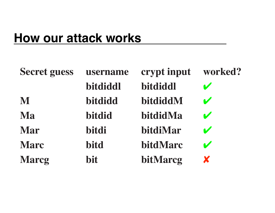| <b>Secret guess</b> | username | crypt input | worked?               |
|---------------------|----------|-------------|-----------------------|
|                     | bitdiddl | bitdiddl    | $\blacktriangledown$  |
| M                   | bitdidd  | bitdiddM    | $\mathbf{v}$          |
| Ma                  | bitdid   | bitdidMa    | $\mathbf{v}$          |
| <b>Mar</b>          | bitdi    | bitdiMar    | $\mathbf{v}$          |
| <b>Marc</b>         | bitd     | bitdMarc    | $\blacktriangleright$ |
| <b>Marcg</b>        | bit      | bitMarcg    | X                     |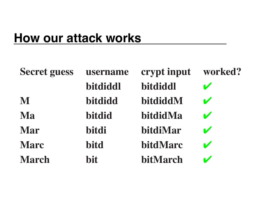| <b>Secret guess</b> | username   | crypt input | worked?                 |
|---------------------|------------|-------------|-------------------------|
|                     | bitdiddl   | bitdiddl    | $\blacktriangleright$   |
| M                   | bitdidd    | bitdiddM    | $\mathbf{v}$            |
| Ma                  | bitdid     | bitdidMa    | $\mathbf{v}$            |
| <b>Mar</b>          | bitdi      | bitdiMar    | $\mathbf{v}$            |
| <b>Marc</b>         | bitd       | bitdMarc    | $\mathbf{v}$            |
| <b>March</b>        | <b>bit</b> | bitMarch    | $\overline{\mathbf{v}}$ |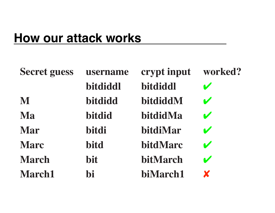| <b>Secret guess</b> | username      | crypt input | worked?               |
|---------------------|---------------|-------------|-----------------------|
|                     | bitdiddl      | bitdiddl    | $\mathbf{v}$          |
| M                   | bitdidd       | bitdiddM    | $\mathbf{v}$          |
| Ma                  | <b>bitdid</b> | bitdidMa    | $\blacktriangleright$ |
| Mar                 | bitdi         | bitdiMar    | $\blacktriangledown$  |
| <b>Marc</b>         | <b>bitd</b>   | bitdMarc    | $\mathbf{v}$          |
| <b>March</b>        | bit           | bitMarch    | $\blacktriangleright$ |
| <b>March1</b>       | hi            | biMarch1    | X                     |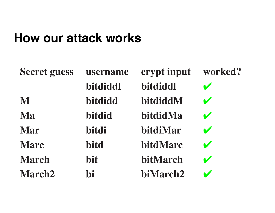| <b>Secret guess</b> | username      | crypt input | worked?              |
|---------------------|---------------|-------------|----------------------|
|                     | bitdiddl      | bitdiddl    | $\blacktriangledown$ |
| M                   | bitdidd       | bitdiddM    | $\mathbf{v}$         |
| Ma                  | <b>bitdid</b> | bitdidMa    | $\mathbf{v}$         |
| <b>Mar</b>          | bitdi         | bitdiMar    | $\mathbf{v}$         |
| <b>Marc</b>         | bitd          | bitdMarc    | $\mathbf{v}$         |
| <b>March</b>        | bit           | bitMarch    | $\mathbf{v}$         |
| <b>March2</b>       | hi            | biMarch2    |                      |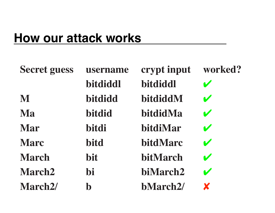| <b>Secret guess</b>  | username      | crypt input     | worked?                    |
|----------------------|---------------|-----------------|----------------------------|
|                      | bitdiddl      | bitdiddl        | $\blacktriangleright$      |
| M                    | bitdidd       | bitdiddM        | $\blacktriangleright$      |
| Ma                   | <b>bitdid</b> | bitdidMa        | $\boldsymbol{\mathcal{U}}$ |
| Mar                  | bitdi         | bitdiMar        | $\mathbf{v}$               |
| <b>Marc</b>          | <b>bitd</b>   | bitdMarc        | $\blacktriangledown$       |
| <b>March</b>         | bit           | bitMarch        | $\boldsymbol{\nu}$         |
| <b>March2</b>        | <b>bi</b>     | biMarch2        | $\boldsymbol{\mathscr{C}}$ |
| March <sub>2</sub> / | $\bf{b}$      | <b>bMarch2/</b> | X                          |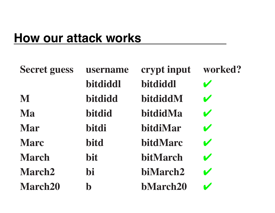| <b>Secret guess</b> | username      | crypt input     | worked?                    |
|---------------------|---------------|-----------------|----------------------------|
|                     | bitdiddl      | bitdiddl        | $\mathbf{v}$               |
| M                   | bitdidd       | bitdiddM        | $\mathbf{v}$               |
| Ma                  | <b>bitdid</b> | bitdidMa        | $\boldsymbol{\mathcal{U}}$ |
| <b>Mar</b>          | bitdi         | bitdiMar        | $\mathbf{v}$               |
| <b>Marc</b>         | <b>bitd</b>   | bitdMarc        | $\blacktriangledown$       |
| <b>March</b>        | bit           | bitMarch        | $\boldsymbol{\mathscr{C}}$ |
| <b>March2</b>       | <b>bi</b>     | biMarch2        | $\boldsymbol{\mathcal{U}}$ |
| <b>March20</b>      | $\bf{b}$      | <b>bMarch20</b> | $\blacktriangleright$      |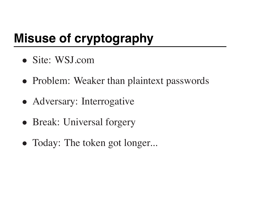# **Misuse of cryptography**

- Site: WSJ.com
- Problem: Weaker than plaintext passwords
- Adversary: Interrogative
- Break: Universal forgery
- Today: The token got longer...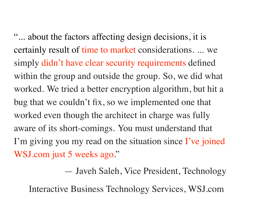"... about the factors affecting design decisions, it is certainly result of time to market considerations. ... we simply didn't have clear security requirements defined within the group and outside the group. So, we did what worked. We tried a better encryption algorithm, but hit a bug that we couldn't fix, so we implemented one that worked even though the architect in charge was fully aware of its short-comings. You must understand that I'm giving you my read on the situation since I've joined WSJ.com just 5 weeks ago."

— Javeh Saleh, Vice President, Technology

Interactive Business Technology Services, WSJ.com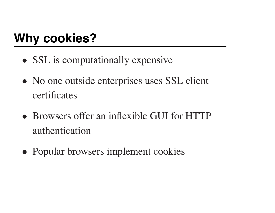# **Why cookies?**

- SSL is computationally expensive
- No one outside enterprises uses SSL client certificates
- Browsers offer an inflexible GUI for HTTP authentication
- Popular browsers implement cookies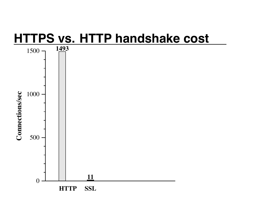### **HTTPS vs. HTTP handshake cost**

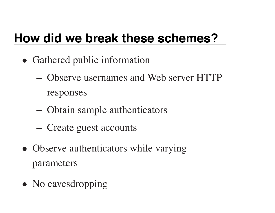## **How did we break these schemes?**

- Gathered public information
	- **–** Observe usernames and Web server HTTP responses
	- **–** Obtain sample authenticators
	- **–** Create guest accounts
- Observe authenticators while varying parameters
- No eavesdropping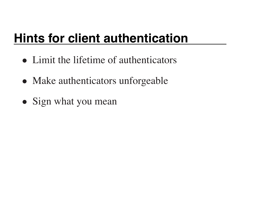# **Hints for client authentication**

- Limit the lifetime of authenticators
- Make authenticators unforgeable
- Sign what you mean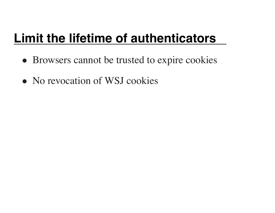## **Limit the lifetime of authenticators**

- Browsers cannot be trusted to expire cookies
- No revocation of WSJ cookies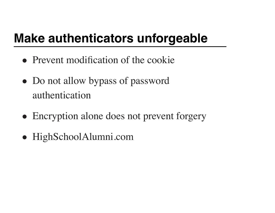# **Make authenticators unforgeable**

- Prevent modification of the cookie
- Do not allow bypass of password authentication
- Encryption alone does not prevent forgery
- HighSchoolAlumni.com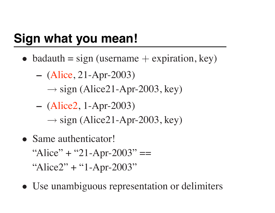# **Sign what you mean!**

- badauth = sign (username  $+$  expiration, key)
	- **–** (Alice, 21-Apr-2003)
		- $\rightarrow$  sign (Alice21-Apr-2003, key)
	- **–** (Alice2, 1-Apr-2003)
		- $\rightarrow$  sign (Alice21-Apr-2003, key)
- Same authenticator! "Alice" + "21-Apr-2003"  $==$ "Alice2" + "1-Apr-2003"
- Use unambiguous representation or delimiters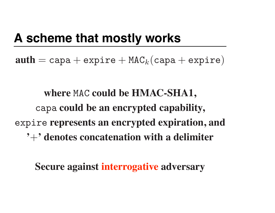## **A scheme that mostly works**

 $\mathbf{auth} = \texttt{capa} + \texttt{expre} + \texttt{MAC}_k(\texttt{capa} + \texttt{expire})$ 

**where** MAC **could be HMAC-SHA1,** capa **could be an encrypted capability,** expire **represents an encrypted expiration, and '**+**' denotes concatenation with a delimiter**

**Secure against interrogative adversary**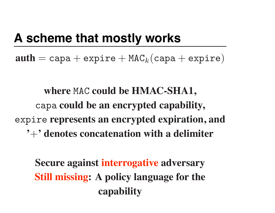### **A scheme that mostly works**

 $\mathbf{auth} = \texttt{capa} + \texttt{expre} + \texttt{MAC}_k(\texttt{capa} + \texttt{expire})$ 

**where** MAC **could be HMAC-SHA1,** capa **could be an encrypted capability,** expire **represents an encrypted expiration, and '**+**' denotes concatenation with a delimiter**

**Secure against interrogative adversary Still missing: A policy language for the capability**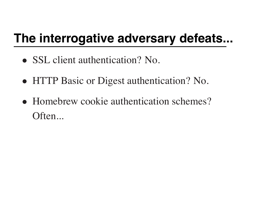## **The interrogative adversary defeats...**

- SSL client authentication? No.
- HTTP Basic or Digest authentication? No.
- Homebrew cookie authentication schemes? Often...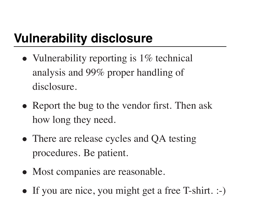# **Vulnerability disclosure**

- Vulnerability reporting is 1\% technical analysis and 99% proper handling of disclosure.
- Report the bug to the vendor first. Then ask how long they need.
- There are release cycles and QA testing procedures. Be patient.
- Most companies are reasonable.
- If you are nice, you might get a free T-shirt. :-)